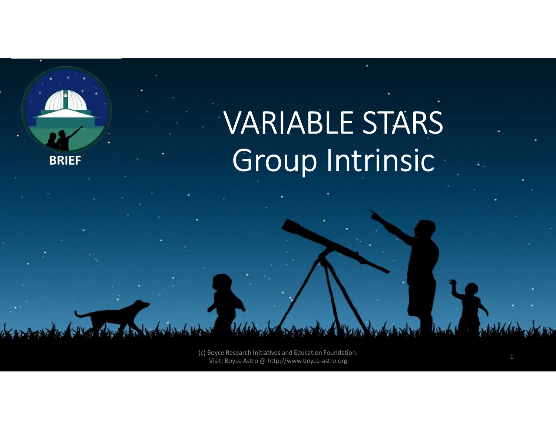

(c) Boyce Research Initiatives and Education Foundation. Visit: Boyce Astro @ http://www.boyce-astro.org <sup>1</sup>

**BRIEF**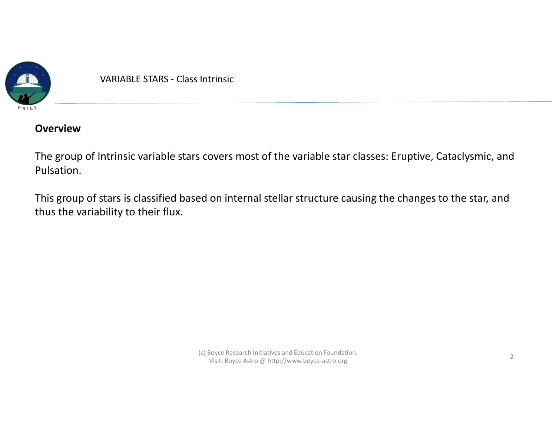

VARIABLE STARS - Class Intrinsic

#### **Overview**

The group of Intrinsic variable stars covers most of the variable star classes: Eruptive, Cataclysmic, and Pulsation.

This group of stars is classified based on internal stellar structure causing the changes to the star, and thus the variability to their flux.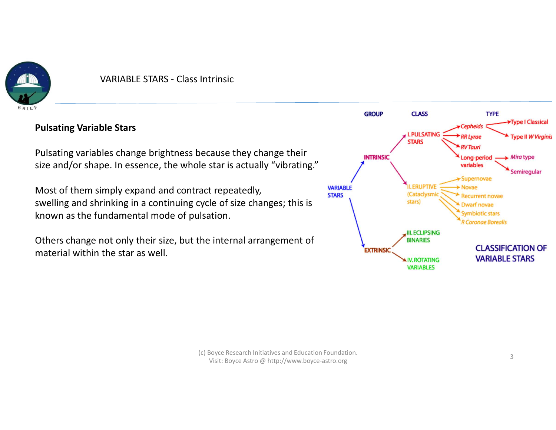

#### Pulsating Variable Stars

Pulsating variables change brightness because they change their size and/or shape. In essence, the whole star is actually "vibrating."

Most of them simply expand and contract repeatedly, swelling and shrinking in a continuing cycle of size changes; this is known as the fundamental mode of pulsation.

Others change not only their size, but the internal arrangement of material within the star as well.

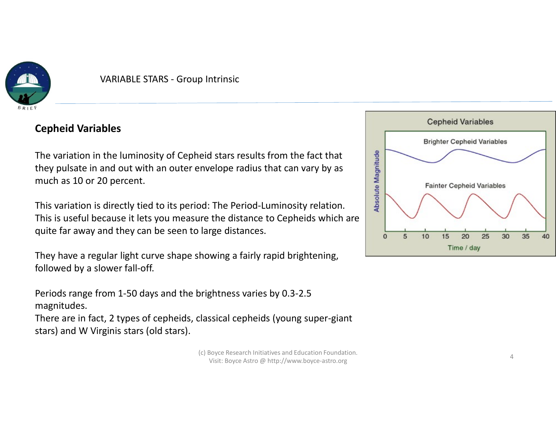

# Cepheid Variables

The variation in the luminosity of Cepheid stars results from the fact that<br>they pulsate in and out with an outer envelope radius that can vary by as<br>much as 10 or 20 percent.<br>This variation is directly tied to its period they pulsate in and out with an outer envelope radius that can vary by as much as 10 or 20 percent.

This variation is directly tied to its period: The Period-Luminosity relation. This is useful because it lets you measure the distance to Cepheids which are quite far away and they can be seen to large distances. The variation in the iuminosity of Cepheid stars results from the fact that<br>they pulsate in and out with an outer envelope radius that can vary by as<br>much as 10 or 20 percent.<br>This variation is directly tied to its period:

They have a regular light curve shape showing a fairly rapid brightening, followed by a slower fall-off.

Periods range from 1-50 days and the brightness varies by 0.3-2.5 magnitudes.

There are in fact, 2 types of cepheids, classical cepheids (young super-giant

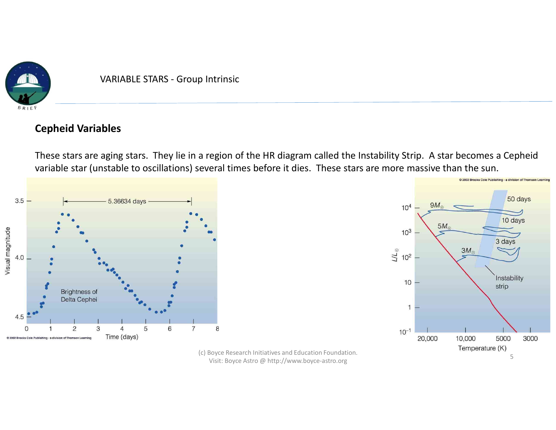

## Cepheid Variables

These stars are aging stars. They lie in a region of the HR diagram called the Instability Strip. A star becomes a Cepheid variable star (unstable to oscillations) several times before it dies. These stars are more massive than the sun.





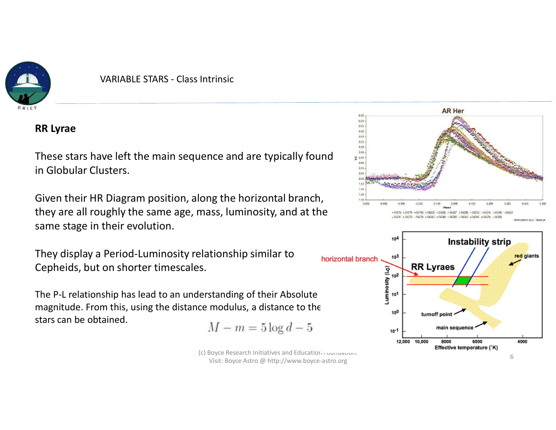

#### RR Lyrae

These stars have left the main sequence and are typically found  $\frac{1}{2}$ in Globular Clusters.

Given their HR Diagram position, along the horizontal branch, they are all roughly the same age, mass, luminosity, and at the same stage in their evolution.

They display a Period-Luminosity relationship similar to borizontal branch Cepheids, but on shorter timescales.

The P-L relationship has lead to an understanding of their Absolute magnitude. From this, using the distance modulus, a distance to the stars can be obtained.

$$
M - m = 5\log d - 5
$$

(c) Boyce Research Initiatives and Education Foundation. Visit: Boyce Astro @ http://www.boyce-astro.org <sup>6</sup>



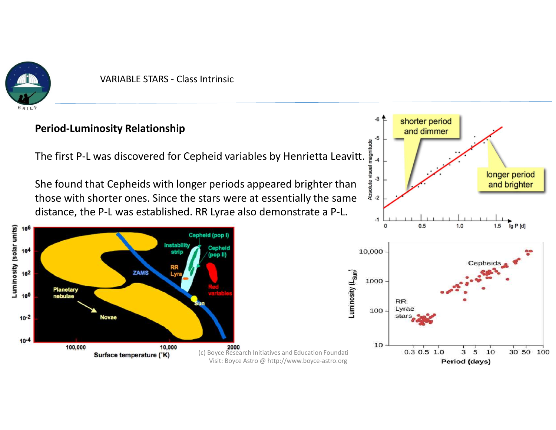

VARIABLE STARS - Class Intrinsic<br>
variable Stars - Class Intrinsic<br>
variable stars and the stars of the stars of the stars of the stars of the stars and the stars are stars and<br>
variable stars and the stars are stars and t

# Period-Luminosity Relationship

<sup>\*</sup><br>The first P-L was discovered for Cepheid variables by Henrietta Leavitt.

She found that Cepheids with longer periods appeared brighter than  $\frac{2}{3}$ <br>those with shorter ones. Since the stars were at essentially the same those with shorter ones. Since the stars were at essentially the same  $\frac{2}{3}$ distance, the P-L was established. RR Lyrae also demonstrate a P-L.



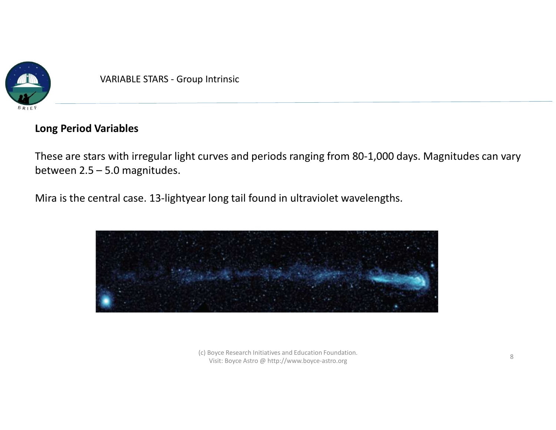

## Long Period Variables

These are stars with irregular light curves and periods ranging from 80-1,000 days. Magnitudes can vary VARIABLE STARS - Group Intrinsic<br>
Long Period Variables<br>
These are stars with irregular light curves and periods ranging fr<br>
between 2.5 – 5.0 magnitudes.<br>
Mira is the central case. 13-lightyear long tail found in ultravio

Mira is the central case. 13-lightyear long tail found in ultraviolet wavelengths.

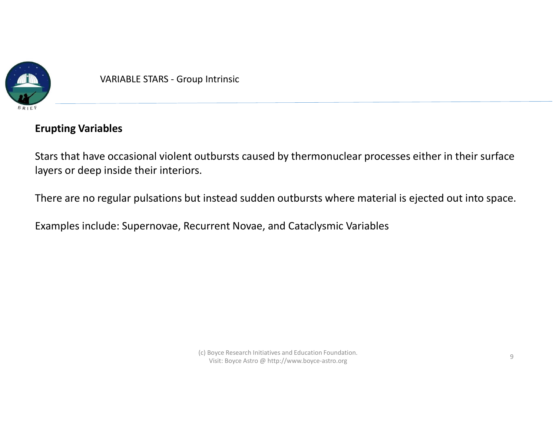

# Erupting Variables

Stars that have occasional violent outbursts caused by thermonuclear processes either in their surface layers or deep inside their interiors.

There are no regular pulsations but instead sudden outbursts where material is ejected out into space.

Examples include: Supernovae, Recurrent Novae, and Cataclysmic Variables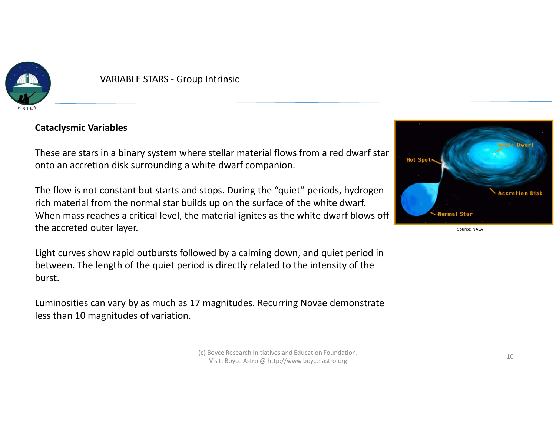

VARIABLE STARS - Group Intrinsic<br>
Fiables<br>
Fiables

#### Cataclysmic Variables

These are stars in a binary system where stellar material flows from a red dwarf star **The Spot Spot** onto an accretion disk surrounding a white dwarf companion.

The flow is not constant but starts and stops. During the "quiet" periods, hydrogenrich material from the normal star builds up on the surface of the white dwarf. When mass reaches a critical level, the material ignites as the white dwarf blows off the accreted outer layer.

Light curves show rapid outbursts followed by a calming down, and quiet period in between. The length of the quiet period is directly related to the intensity of the burst.

Luminosities can vary by as much as 17 magnitudes. Recurring Novae demonstrate less than 10 magnitudes of variation.

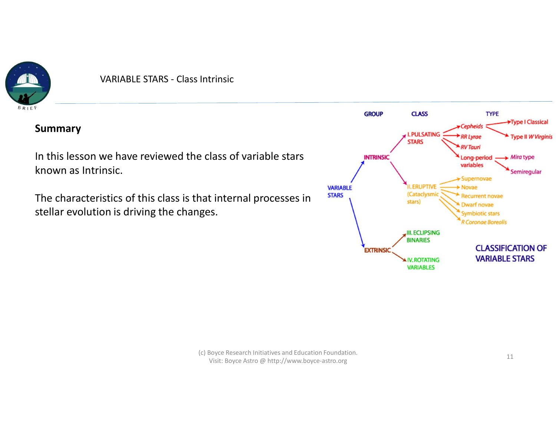

#### Summary

In this lesson we have reviewed the class of variable stars known as Intrinsic.

The characteristics of this class is that internal processes in STARS stellar evolution is driving the changes.